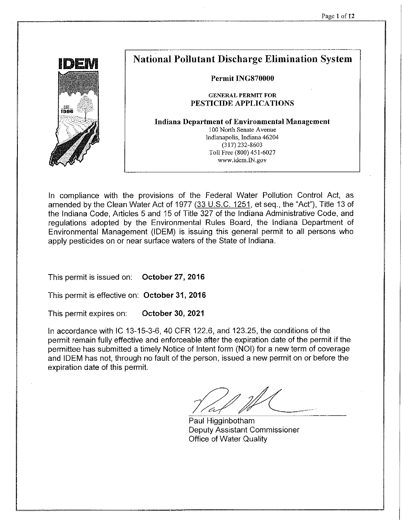

# **National Pollutant Discharge Elimination System**

#### Permit ING870000

#### **GENERAL PERMIT FOR** PESTICIDE APPLICATIONS

**Indiana Department of Environmental Management** 100 North Senate Avenue Indianapolis, Indiana 46204  $(317)$  232-8603 Toll Free (800) 451-6027 www.idem.IN.gov

In compliance with the provisions of the Federal Water Pollution Control Act, as amended by the Clean Water Act of 1977 (33 U.S.C. 1251, et seg., the "Act"), Title 13 of the Indiana Code, Articles 5 and 15 of Title 327 of the Indiana Administrative Code, and regulations adopted by the Environmental Rules Board, the Indiana Department of Environmental Management (IDEM) is issuing this general permit to all persons who apply pesticides on or near surface waters of the State of Indiana.

October 27, 2016 This permit is issued on:

This permit is effective on: October 31, 2016

This permit expires on: October 30, 2021

In accordance with IC 13-15-3-6, 40 CFR 122.6, and 123.25, the conditions of the permit remain fully effective and enforceable after the expiration date of the permit if the permittee has submitted a timely Notice of Intent form (NOI) for a new term of coverage and IDEM has not, through no fault of the person, issued a new permit on or before the expiration date of this permit.

Paul Higginbotham Deputy Assistant Commissioner Office of Water Quality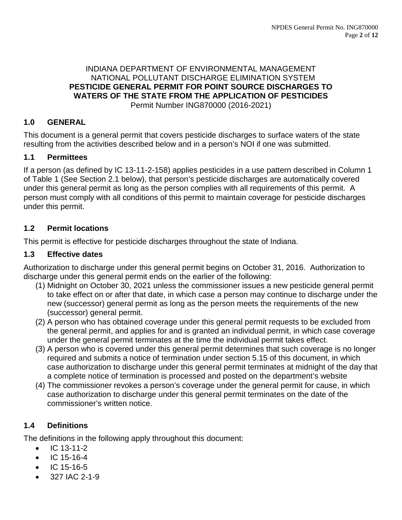#### INDIANA DEPARTMENT OF ENVIRONMENTAL MANAGEMENT NATIONAL POLLUTANT DISCHARGE ELIMINATION SYSTEM **PESTICIDE GENERAL PERMIT FOR POINT SOURCE DISCHARGES TO WATERS OF THE STATE FROM THE APPLICATION OF PESTICIDES** Permit Number ING870000 (2016-2021)

## **1.0 GENERAL**

This document is a general permit that covers pesticide discharges to surface waters of the state resulting from the activities described below and in a person's NOI if one was submitted.

#### **1.1 Permittees**

If a person (as defined by IC 13-11-2-158) applies pesticides in a use pattern described in Column 1 of Table 1 (See Section 2.1 below), that person's pesticide discharges are automatically covered under this general permit as long as the person complies with all requirements of this permit. A person must comply with all conditions of this permit to maintain coverage for pesticide discharges under this permit.

## **1.2 Permit locations**

This permit is effective for pesticide discharges throughout the state of Indiana.

#### **1.3 Effective dates**

Authorization to discharge under this general permit begins on October 31, 2016. Authorization to discharge under this general permit ends on the earlier of the following:

- (1) Midnight on October 30, 2021 unless the commissioner issues a new pesticide general permit to take effect on or after that date, in which case a person may continue to discharge under the new (successor) general permit as long as the person meets the requirements of the new (successor) general permit.
- (2) A person who has obtained coverage under this general permit requests to be excluded from the general permit, and applies for and is granted an individual permit, in which case coverage under the general permit terminates at the time the individual permit takes effect.
- (3) A person who is covered under this general permit determines that such coverage is no longer required and submits a notice of termination under section 5.15 of this document, in which case authorization to discharge under this general permit terminates at midnight of the day that a complete notice of termination is processed and posted on the department's website
- (4) The commissioner revokes a person's coverage under the general permit for cause, in which case authorization to discharge under this general permit terminates on the date of the commissioner's written notice.

## **1.4 Definitions**

The definitions in the following apply throughout this document:

- IC 13-11-2
- IC 15-16-4
- IC 15-16-5
- 327 IAC 2-1-9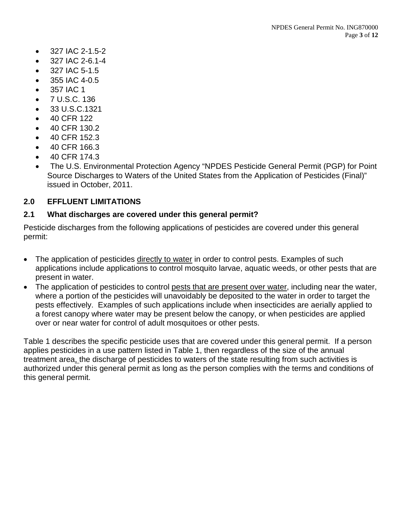- 327 IAC 2-1.5-2
- 327 IAC 2-6.1-4
- 327 IAC 5-1.5
- 355 IAC 4-0.5
- 357 IAC 1
- 7 U.S.C. 136
- 33 U.S.C.1321
- 40 CFR 122
- 40 CFR 130.2
- 40 CFR 152.3
- 40 CFR 166.3
- 40 CFR 174.3
- The U.S. Environmental Protection Agency "NPDES Pesticide General Permit (PGP) for Point Source Discharges to Waters of the United States from the Application of Pesticides (Final)" issued in October, 2011.

## **2.0 EFFLUENT LIMITATIONS**

#### **2.1 What discharges are covered under this general permit?**

Pesticide discharges from the following applications of pesticides are covered under this general permit:

- The application of pesticides directly to water in order to control pests. Examples of such applications include applications to control mosquito larvae, aquatic weeds, or other pests that are present in water.
- The application of pesticides to control pests that are present over water, including near the water, where a portion of the pesticides will unavoidably be deposited to the water in order to target the pests effectively. Examples of such applications include when insecticides are aerially applied to a forest canopy where water may be present below the canopy, or when pesticides are applied over or near water for control of adult mosquitoes or other pests.

Table 1 describes the specific pesticide uses that are covered under this general permit. If a person applies pesticides in a use pattern listed in Table 1, then regardless of the size of the annual treatment area, the discharge of pesticides to waters of the state resulting from such activities is authorized under this general permit as long as the person complies with the terms and conditions of this general permit.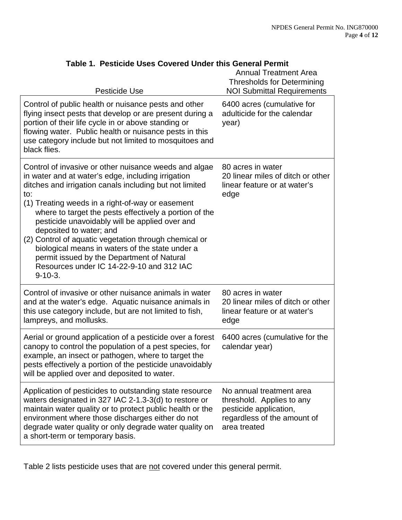| Pesticide Use                                                                                                                                                                                                                                                                                                                                                                                                                                                                                                                                                                                | <b>Annual Treatment Area</b><br><b>Thresholds for Determining</b><br><b>NOI Submittal Requirements</b>                         |
|----------------------------------------------------------------------------------------------------------------------------------------------------------------------------------------------------------------------------------------------------------------------------------------------------------------------------------------------------------------------------------------------------------------------------------------------------------------------------------------------------------------------------------------------------------------------------------------------|--------------------------------------------------------------------------------------------------------------------------------|
| Control of public health or nuisance pests and other<br>flying insect pests that develop or are present during a<br>portion of their life cycle in or above standing or<br>flowing water. Public health or nuisance pests in this<br>use category include but not limited to mosquitoes and<br>black flies.                                                                                                                                                                                                                                                                                  | 6400 acres (cumulative for<br>adulticide for the calendar<br>year)                                                             |
| Control of invasive or other nuisance weeds and algae<br>in water and at water's edge, including irrigation<br>ditches and irrigation canals including but not limited<br>to:<br>(1) Treating weeds in a right-of-way or easement<br>where to target the pests effectively a portion of the<br>pesticide unavoidably will be applied over and<br>deposited to water; and<br>(2) Control of aquatic vegetation through chemical or<br>biological means in waters of the state under a<br>permit issued by the Department of Natural<br>Resources under IC 14-22-9-10 and 312 IAC<br>$9-10-3.$ | 80 acres in water<br>20 linear miles of ditch or other<br>linear feature or at water's<br>edge                                 |
| Control of invasive or other nuisance animals in water<br>and at the water's edge. Aquatic nuisance animals in<br>this use category include, but are not limited to fish,<br>lampreys, and mollusks.                                                                                                                                                                                                                                                                                                                                                                                         | 80 acres in water<br>20 linear miles of ditch or other<br>linear feature or at water's<br>edge                                 |
| Aerial or ground application of a pesticide over a forest<br>canopy to control the population of a pest species, for<br>example, an insect or pathogen, where to target the<br>pests effectively a portion of the pesticide unavoidably<br>will be applied over and deposited to water.                                                                                                                                                                                                                                                                                                      | 6400 acres (cumulative for the<br>calendar year)                                                                               |
| Application of pesticides to outstanding state resource<br>waters designated in 327 IAC 2-1.3-3(d) to restore or<br>maintain water quality or to protect public health or the<br>environment where those discharges either do not<br>degrade water quality or only degrade water quality on<br>a short-term or temporary basis.                                                                                                                                                                                                                                                              | No annual treatment area<br>threshold. Applies to any<br>pesticide application,<br>regardless of the amount of<br>area treated |

# **Table 1. Pesticide Uses Covered Under this General Permit**

Table 2 lists pesticide uses that are not covered under this general permit.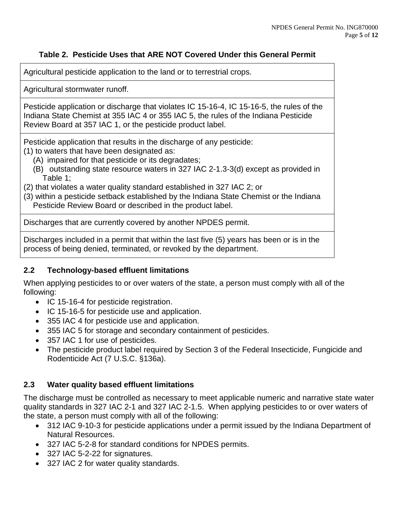## **Table 2. Pesticide Uses that ARE NOT Covered Under this General Permit**

Agricultural pesticide application to the land or to terrestrial crops.

Agricultural stormwater runoff.

Pesticide application or discharge that violates IC 15-16-4, IC 15-16-5, the rules of the Indiana State Chemist at 355 IAC 4 or 355 IAC 5, the rules of the Indiana Pesticide Review Board at 357 IAC 1, or the pesticide product label.

Pesticide application that results in the discharge of any pesticide: (1) to waters that have been designated as:

- (A) impaired for that pesticide or its degradates;
- (B) outstanding state resource waters in 327 IAC 2-1.3-3(d) except as provided in Table 1<sup>-</sup>
- (2) that violates a water quality standard established in 327 IAC 2; or
- (3) within a pesticide setback established by the Indiana State Chemist or the Indiana Pesticide Review Board or described in the product label.

Discharges that are currently covered by another NPDES permit.

Discharges included in a permit that within the last five (5) years has been or is in the process of being denied, terminated, or revoked by the department.

## **2.2 Technology-based effluent limitations**

When applying pesticides to or over waters of the state, a person must comply with all of the following:

- IC 15-16-4 for pesticide registration.
- IC 15-16-5 for pesticide use and application.
- 355 IAC 4 for pesticide use and application.
- 355 IAC 5 for storage and secondary containment of pesticides.
- 357 IAC 1 for use of pesticides.
- The pesticide product label required by Section 3 of the Federal Insecticide, Fungicide and Rodenticide Act (7 U.S.C. §136a).

## **2.3 Water quality based effluent limitations**

The discharge must be controlled as necessary to meet applicable numeric and narrative state water quality standards in 327 IAC 2-1 and 327 IAC 2-1.5. When applying pesticides to or over waters of the state, a person must comply with all of the following:

- 312 IAC 9-10-3 for pesticide applications under a permit issued by the Indiana Department of Natural Resources.
- 327 IAC 5-2-8 for standard conditions for NPDES permits.
- 327 IAC 5-2-22 for signatures.
- 327 IAC 2 for water quality standards.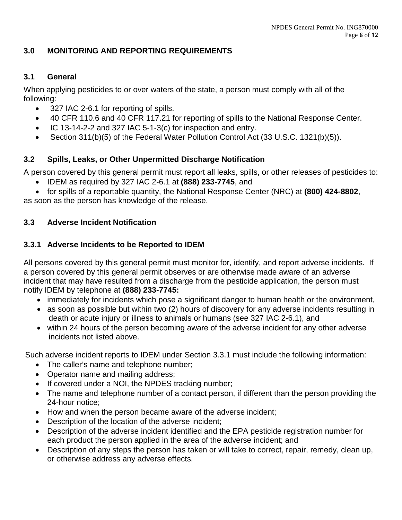#### **3.0 MONITORING AND REPORTING REQUIREMENTS**

#### **3.1 General**

When applying pesticides to or over waters of the state, a person must comply with all of the following:

- 327 IAC 2-6.1 for reporting of spills.
- 40 CFR 110.6 and 40 CFR 117.21 for reporting of spills to the National Response Center.
- IC 13-14-2-2 and 327 IAC 5-1-3(c) for inspection and entry.
- Section 311(b)(5) of the Federal Water Pollution Control Act (33 U.S.C. 1321(b)(5)).

#### **3.2 Spills, Leaks, or Other Unpermitted Discharge Notification**

A person covered by this general permit must report all leaks, spills, or other releases of pesticides to:

- IDEM as required by 327 IAC 2-6.1 at **(888) 233-7745**, and
- for spills of a reportable quantity, the National Response Center (NRC) at **(800) 424-8802**,

as soon as the person has knowledge of the release.

#### **3.3 Adverse Incident Notification**

## **3.3.1 Adverse Incidents to be Reported to IDEM**

All persons covered by this general permit must monitor for, identify, and report adverse incidents. If a person covered by this general permit observes or are otherwise made aware of an adverse incident that may have resulted from a discharge from the pesticide application, the person must notify IDEM by telephone at **(888) 233-7745:**

- immediately for incidents which pose a significant danger to human health or the environment,
- as soon as possible but within two (2) hours of discovery for any adverse incidents resulting in death or acute injury or illness to animals or humans (see 327 IAC 2-6.1), and
- within 24 hours of the person becoming aware of the adverse incident for any other adverse incidents not listed above.

Such adverse incident reports to IDEM under Section 3.3.1 must include the following information:

- The caller's name and telephone number;
- Operator name and mailing address;
- If covered under a NOI, the NPDES tracking number;
- The name and telephone number of a contact person, if different than the person providing the 24-hour notice;
- How and when the person became aware of the adverse incident;
- Description of the location of the adverse incident;
- Description of the adverse incident identified and the EPA pesticide registration number for each product the person applied in the area of the adverse incident; and
- Description of any steps the person has taken or will take to correct, repair, remedy, clean up, or otherwise address any adverse effects.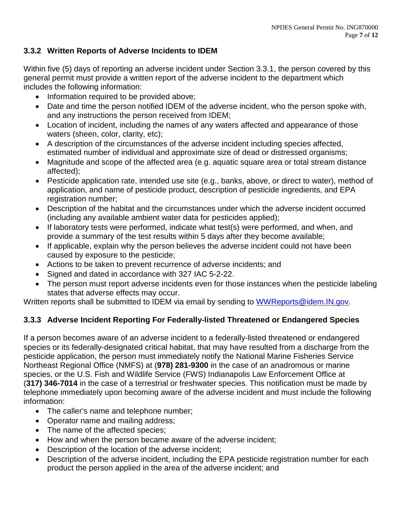## **3.3.2 Written Reports of Adverse Incidents to IDEM**

Within five (5) days of reporting an adverse incident under Section 3.3.1, the person covered by this general permit must provide a written report of the adverse incident to the department which includes the following information:

- Information required to be provided above;
- Date and time the person notified IDEM of the adverse incident, who the person spoke with, and any instructions the person received from IDEM;
- Location of incident, including the names of any waters affected and appearance of those waters (sheen, color, clarity, etc);
- A description of the circumstances of the adverse incident including species affected, estimated number of individual and approximate size of dead or distressed organisms;
- Magnitude and scope of the affected area (e.g. aguatic square area or total stream distance affected);
- Pesticide application rate, intended use site (e.g., banks, above, or direct to water), method of application, and name of pesticide product, description of pesticide ingredients, and EPA registration number;
- Description of the habitat and the circumstances under which the adverse incident occurred (including any available ambient water data for pesticides applied);
- If laboratory tests were performed, indicate what test(s) were performed, and when, and provide a summary of the test results within 5 days after they become available;
- If applicable, explain why the person believes the adverse incident could not have been caused by exposure to the pesticide;
- Actions to be taken to prevent recurrence of adverse incidents; and
- Signed and dated in accordance with 327 IAC 5-2-22.
- The person must report adverse incidents even for those instances when the pesticide labeling states that adverse effects may occur.

Written reports shall be submitted to IDEM via email by sending to [WWReports@idem.IN.gov.](mailto:WWReports@idem.IN.gov)

## **3.3.3 Adverse Incident Reporting For Federally-listed Threatened or Endangered Species**

If a person becomes aware of an adverse incident to a federally-listed threatened or endangered species or its federally-designated critical habitat, that may have resulted from a discharge from the pesticide application, the person must immediately notify the National Marine Fisheries Service Northeast Regional Office (NMFS) at (**978) 281-9300** in the case of an anadromous or marine species, or the U.S. Fish and Wildlife Service (FWS) Indianapolis Law Enforcement Office at (**317) 346-7014** in the case of a terrestrial or freshwater species. This notification must be made by telephone immediately upon becoming aware of the adverse incident and must include the following information:

- The caller's name and telephone number;
- Operator name and mailing address;
- The name of the affected species;
- How and when the person became aware of the adverse incident;
- Description of the location of the adverse incident;
- Description of the adverse incident, including the EPA pesticide registration number for each product the person applied in the area of the adverse incident; and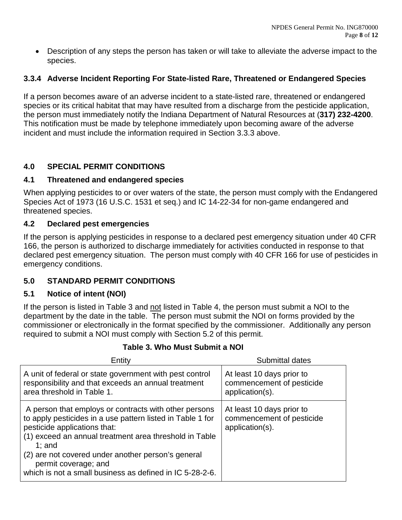• Description of any steps the person has taken or will take to alleviate the adverse impact to the species.

# **3.3.4 Adverse Incident Reporting For State-listed Rare, Threatened or Endangered Species**

If a person becomes aware of an adverse incident to a state-listed rare, threatened or endangered species or its critical habitat that may have resulted from a discharge from the pesticide application, the person must immediately notify the Indiana Department of Natural Resources at (**317) 232-4200**. This notification must be made by telephone immediately upon becoming aware of the adverse incident and must include the information required in Section 3.3.3 above.

## **4.0 SPECIAL PERMIT CONDITIONS**

#### **4.1 Threatened and endangered species**

When applying pesticides to or over waters of the state, the person must comply with the Endangered Species Act of 1973 (16 U.S.C. 1531 et seq.) and IC 14-22-34 for non-game endangered and threatened species.

## **4.2 Declared pest emergencies**

If the person is applying pesticides in response to a declared pest emergency situation under 40 CFR 166, the person is authorized to discharge immediately for activities conducted in response to that declared pest emergency situation. The person must comply with 40 CFR 166 for use of pesticides in emergency conditions.

## **5.0 STANDARD PERMIT CONDITIONS**

## **5.1 Notice of intent (NOI)**

If the person is listed in Table 3 and not listed in Table 4, the person must submit a NOI to the department by the date in the table. The person must submit the NOI on forms provided by the commissioner or electronically in the format specified by the commissioner. Additionally any person required to submit a NOI must comply with Section 5.2 of this permit.

## **Table 3. Who Must Submit a NOI**

| Entity                                                                                                                                                                                                                                                                                                                                                               | Submittal dates                                                           |
|----------------------------------------------------------------------------------------------------------------------------------------------------------------------------------------------------------------------------------------------------------------------------------------------------------------------------------------------------------------------|---------------------------------------------------------------------------|
| A unit of federal or state government with pest control<br>responsibility and that exceeds an annual treatment<br>area threshold in Table 1.                                                                                                                                                                                                                         | At least 10 days prior to<br>commencement of pesticide<br>application(s). |
| A person that employs or contracts with other persons<br>to apply pesticides in a use pattern listed in Table 1 for<br>pesticide applications that:<br>(1) exceed an annual treatment area threshold in Table<br>$1$ ; and<br>(2) are not covered under another person's general<br>permit coverage; and<br>which is not a small business as defined in IC 5-28-2-6. | At least 10 days prior to<br>commencement of pesticide<br>application(s). |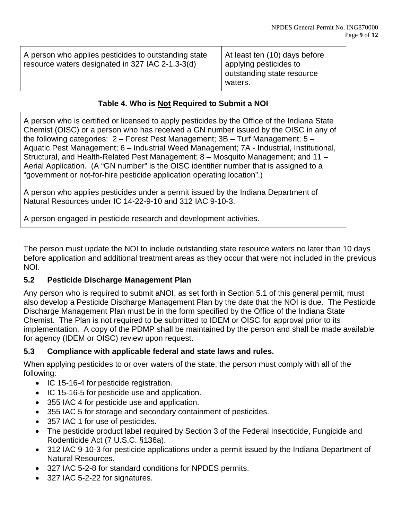| A person who applies pesticides to outstanding state<br>resource waters designated in 327 IAC 2-1.3-3(d) | At least ten (10) days before<br>applying pesticides to<br>outstanding state resource<br>waters. |
|----------------------------------------------------------------------------------------------------------|--------------------------------------------------------------------------------------------------|
|----------------------------------------------------------------------------------------------------------|--------------------------------------------------------------------------------------------------|

## **Table 4. Who is Not Required to Submit a NOI**

A person who is certified or licensed to apply pesticides by the Office of the Indiana State Chemist (OISC) or a person who has received a GN number issued by the OISC in any of the following categories: 2 – Forest Pest Management; 3B – Turf Management; 5 – Aquatic Pest Management; 6 – Industrial Weed Management; 7A - Industrial, Institutional, Structural, and Health-Related Pest Management; 8 – Mosquito Management; and 11 – Aerial Application. (A "GN number" is the OISC identifier number that is assigned to a "government or not-for-hire pesticide application operating location".)

A person who applies pesticides under a permit issued by the Indiana Department of Natural Resources under IC 14-22-9-10 and 312 IAC 9-10-3.

A person engaged in pesticide research and development activities.

The person must update the NOI to include outstanding state resource waters no later than 10 days before application and additional treatment areas as they occur that were not included in the previous NOI.

#### **5.2 Pesticide Discharge Management Plan**

Any person who is required to submit aNOI, as set forth in Section 5.1 of this general permit, must also develop a Pesticide Discharge Management Plan by the date that the NOI is due. The Pesticide Discharge Management Plan must be in the form specified by the Office of the Indiana State Chemist. The Plan is not required to be submitted to IDEM or OISC for approval prior to its implementation. A copy of the PDMP shall be maintained by the person and shall be made available for agency (IDEM or OISC) review upon request.

#### **5.3 Compliance with applicable federal and state laws and rules.**

When applying pesticides to or over waters of the state, the person must comply with all of the following:

- IC 15-16-4 for pesticide registration.
- IC 15-16-5 for pesticide use and application.
- 355 IAC 4 for pesticide use and application.
- 355 IAC 5 for storage and secondary containment of pesticides.
- 357 IAC 1 for use of pesticides.
- The pesticide product label required by Section 3 of the Federal Insecticide, Fungicide and Rodenticide Act (7 U.S.C. §136a).
- 312 IAC 9-10-3 for pesticide applications under a permit issued by the Indiana Department of Natural Resources.
- 327 IAC 5-2-8 for standard conditions for NPDES permits.
- 327 IAC 5-2-22 for signatures.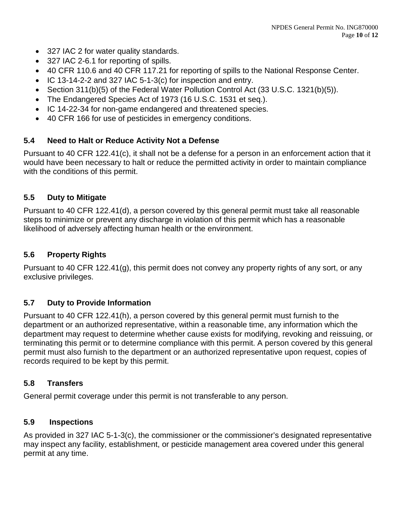- 327 IAC 2 for water quality standards.
- 327 IAC 2-6.1 for reporting of spills.
- 40 CFR 110.6 and 40 CFR 117.21 for reporting of spills to the National Response Center.
- IC 13-14-2-2 and 327 IAC 5-1-3(c) for inspection and entry.
- Section 311(b)(5) of the Federal Water Pollution Control Act (33 U.S.C. 1321(b)(5)).
- The Endangered Species Act of 1973 (16 U.S.C. 1531 et seq.).
- IC 14-22-34 for non-game endangered and threatened species.
- 40 CFR 166 for use of pesticides in emergency conditions.

## **5.4 Need to Halt or Reduce Activity Not a Defense**

Pursuant to 40 CFR 122.41(c), it shall not be a defense for a person in an enforcement action that it would have been necessary to halt or reduce the permitted activity in order to maintain compliance with the conditions of this permit.

## **5.5 Duty to Mitigate**

Pursuant to 40 CFR 122.41(d), a person covered by this general permit must take all reasonable steps to minimize or prevent any discharge in violation of this permit which has a reasonable likelihood of adversely affecting human health or the environment.

#### **5.6 Property Rights**

Pursuant to 40 CFR 122.41(g), this permit does not convey any property rights of any sort, or any exclusive privileges.

## **5.7 Duty to Provide Information**

Pursuant to 40 CFR 122.41(h), a person covered by this general permit must furnish to the department or an authorized representative, within a reasonable time, any information which the department may request to determine whether cause exists for modifying, revoking and reissuing, or terminating this permit or to determine compliance with this permit. A person covered by this general permit must also furnish to the department or an authorized representative upon request, copies of records required to be kept by this permit.

#### **5.8 Transfers**

General permit coverage under this permit is not transferable to any person.

#### **5.9 Inspections**

As provided in 327 IAC 5-1-3(c), the commissioner or the commissioner's designated representative may inspect any facility, establishment, or pesticide management area covered under this general permit at any time.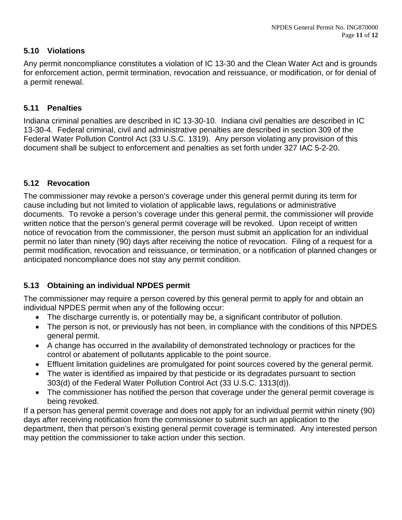## **5.10 Violations**

Any permit noncompliance constitutes a violation of IC 13-30 and the Clean Water Act and is grounds for enforcement action, permit termination, revocation and reissuance, or modification, or for denial of a permit renewal.

## **5.11 Penalties**

Indiana criminal penalties are described in IC 13-30-10. Indiana civil penalties are described in IC 13-30-4. Federal criminal, civil and administrative penalties are described in section 309 of the Federal Water Pollution Control Act (33 U.S.C. 1319). Any person violating any provision of this document shall be subject to enforcement and penalties as set forth under 327 IAC 5-2-20.

## **5.12 Revocation**

The commissioner may revoke a person's coverage under this general permit during its term for cause including but not limited to violation of applicable laws, regulations or administrative documents. To revoke a person's coverage under this general permit, the commissioner will provide written notice that the person's general permit coverage will be revoked. Upon receipt of written notice of revocation from the commissioner, the person must submit an application for an individual permit no later than ninety (90) days after receiving the notice of revocation. Filing of a request for a permit modification, revocation and reissuance, or termination, or a notification of planned changes or anticipated noncompliance does not stay any permit condition.

# **5.13 Obtaining an individual NPDES permit**

The commissioner may require a person covered by this general permit to apply for and obtain an individual NPDES permit when any of the following occur:

- The discharge currently is, or potentially may be, a significant contributor of pollution.
- The person is not, or previously has not been, in compliance with the conditions of this NPDES general permit.
- A change has occurred in the availability of demonstrated technology or practices for the control or abatement of pollutants applicable to the point source.
- Effluent limitation guidelines are promulgated for point sources covered by the general permit.
- The water is identified as impaired by that pesticide or its degradates pursuant to section 303(d) of the Federal Water Pollution Control Act (33 U.S.C. 1313(d)).
- The commissioner has notified the person that coverage under the general permit coverage is being revoked.

If a person has general permit coverage and does not apply for an individual permit within ninety (90) days after receiving notification from the commissioner to submit such an application to the department, then that person's existing general permit coverage is terminated. Any interested person may petition the commissioner to take action under this section.